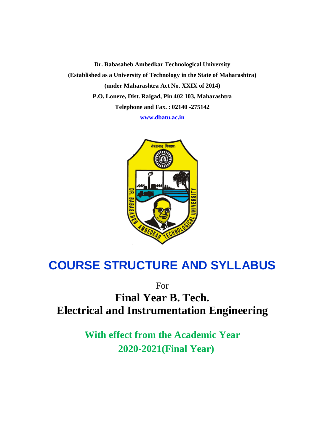**Dr. Babasaheb Ambedkar Technological University (Established as a University of Technology in the State of Maharashtra) (under Maharashtra Act No. XXIX of 2014) P.O. Lonere, Dist. Raigad, Pin 402 103, Maharashtra Telephone and Fax. : 02140 -275142 www.dbatu.ac.in**

तंत्रज्ञानात् विकास:

# **COURSE STRUCTURE AND SYLLABUS**

For

**Final Year B. Tech. Electrical and Instrumentation Engineering** 

> **With effect from the Academic Year 2020-2021(Final Year)**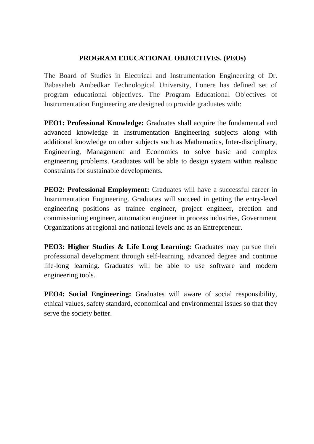## **PROGRAM EDUCATIONAL OBJECTIVES. (PEOs)**

The Board of Studies in Electrical and Instrumentation Engineering of Dr. Babasaheb Ambedkar Technological University, Lonere has defined set of program educational objectives. The Program Educational Objectives of Instrumentation Engineering are designed to provide graduates with:

**PEO1: Professional Knowledge:** Graduates shall acquire the fundamental and advanced knowledge in Instrumentation Engineering subjects along with additional knowledge on other subjects such as Mathematics, Inter-disciplinary, Engineering, Management and Economics to solve basic and complex engineering problems. Graduates will be able to design system within realistic constraints for sustainable developments.

**PEO2: Professional Employment:** Graduates will have a successful career in Instrumentation Engineering. Graduates will succeed in getting the entry-level engineering positions as trainee engineer, project engineer, erection and commissioning engineer, automation engineer in process industries, Government Organizations at regional and national levels and as an Entrepreneur.

**PEO3: Higher Studies & Life Long Learning:** Graduates may pursue their professional development through self-learning, advanced degree and continue life-long learning. Graduates will be able to use software and modern engineering tools.

**PEO4: Social Engineering:** Graduates will aware of social responsibility, ethical values, safety standard, economical and environmental issues so that they serve the society better.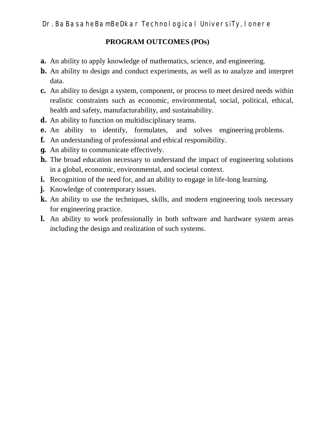## **PROGRAM OUTCOMES (POs)**

- **a.** An ability to apply knowledge of mathematics, science, and engineering.
- **b.** An ability to design and conduct experiments, as well as to analyze and interpret data.
- **c.** An ability to design a system, component, or process to meet desired needs within realistic constraints such as economic, environmental, social, political, ethical, health and safety, manufacturability, and sustainability.
- **d.** An ability to function on multidisciplinary teams.
- **e.** An ability to identify, formulates, and solves engineering problems.
- **f.** An understanding of professional and ethical responsibility.
- **g.** An ability to communicate effectively.
- **h.** The broad education necessary to understand the impact of engineering solutions in a global, economic, environmental, and societal context.
- **i.** Recognition of the need for, and an ability to engage in life-long learning.
- **j.** Knowledge of contemporary issues.
- **k.** An ability to use the techniques, skills, and modern engineering tools necessary for engineering practice.
- **l.** An ability to work professionally in both software and hardware system areas including the design and realization of such systems.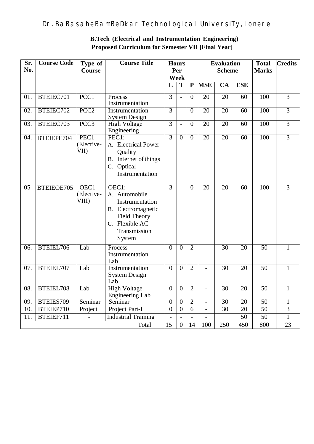| Sr.<br>No.        | <b>Course Code</b> | Type of<br><b>Course</b>   | <b>Course Title</b>                                                                                                                | <b>Hours</b><br>Per<br>Week |                | <b>Evaluation</b><br><b>Scheme</b> |                          |                 | <b>Total</b><br><b>Marks</b> | <b>Credits</b>  |                |
|-------------------|--------------------|----------------------------|------------------------------------------------------------------------------------------------------------------------------------|-----------------------------|----------------|------------------------------------|--------------------------|-----------------|------------------------------|-----------------|----------------|
|                   |                    |                            |                                                                                                                                    | L                           | $\overline{T}$ | $\overline{\mathbf{P}}$            | <b>MSE</b>               | CA              | <b>ESE</b>                   |                 |                |
| 01.               | BTEIEC701          | PCC1                       | Process<br>Instrumentation                                                                                                         | $\overline{3}$              |                | $\overline{0}$                     | 20                       | 20              | 60                           | 100             | $\overline{3}$ |
| $\overline{02}$ . | BTEIEC702          | PCC <sub>2</sub>           | Instrumentation<br><b>System Design</b>                                                                                            | $\overline{3}$              | $\overline{a}$ | $\overline{0}$                     | 20                       | 20              | 60                           | 100             | $\overline{3}$ |
| 03.               | BTEIEC703          | PCC3                       | <b>High Voltage</b><br>Engineering                                                                                                 | 3                           | $\overline{a}$ | $\overline{0}$                     | $\overline{20}$          | 20              | 60                           | 100             | $\overline{3}$ |
| 04.               | BTEIEPE704         | PEC1<br>Elective-<br>VII)  | PEC1:<br>A. Electrical Power<br>Quality<br>B. Internet of things<br>C. Optical<br>Instrumentation                                  | $\overline{3}$              | $\overline{0}$ | $\overline{0}$                     | 20                       | $\overline{20}$ | 60                           | 100             | $\overline{3}$ |
| 05                | BTEIEOE705         | OEC1<br>Elective-<br>VIII) | OEC1:<br>A. Automobile<br>Instrumentation<br>B. Electromagnetic<br><b>Field Theory</b><br>C. Flexible AC<br>Transmission<br>System | $\overline{3}$              |                | $\theta$                           | 20                       | 20              | 60                           | 100             | $\overline{3}$ |
| 06.               | BTEIEL706          | Lab                        | Process<br>Instrumentation<br>Lab                                                                                                  | $\theta$                    | $\overline{0}$ | $\overline{2}$                     | $\overline{a}$           | $\overline{30}$ | 20                           | 50              | $\mathbf{1}$   |
| 07.               | BTEIEL707          | Lab                        | Instrumentation<br><b>System Design</b><br>Lab                                                                                     |                             | $\overline{0}$ | $\overline{2}$                     |                          | $\overline{30}$ | 20                           | $\overline{50}$ | $\mathbf{1}$   |
| 08.               | BTEIEL708          | Lab                        | <b>High Voltage</b><br><b>Engineering Lab</b>                                                                                      | $\overline{0}$              | $\overline{0}$ | $\overline{2}$                     | $\overline{a}$           | 30              | 20                           | 50              | $\overline{1}$ |
| 09.               | BTEIES709          | Seminar                    | Seminar                                                                                                                            | $\overline{0}$              | $\overline{0}$ | $\overline{2}$                     | $\overline{a}$           | 30              | 20                           | $\overline{50}$ | 1              |
| 10.               | BTEIEP710          | Project                    | Project Part-I                                                                                                                     | $\overline{0}$              | $\overline{0}$ | 6                                  | $\overline{\phantom{a}}$ | 30              | $\overline{20}$              | $\overline{50}$ | $\overline{3}$ |
| $\overline{11}$   | BTEIEF711          | $\overline{a}$             | <b>Industrial Training</b>                                                                                                         | $\overline{a}$              | $\overline{a}$ | $\overline{a}$                     |                          |                 | 50                           | 50              | $\mathbf{1}$   |
|                   |                    |                            | Total                                                                                                                              | 15                          | $\mathbf{0}$   | 14                                 | 100                      | 250             | 450                          | 800             | 23             |

## **B.Tech (Electrical and Instrumentation Engineering) Proposed Curriculum for Semester VII [Final Year]**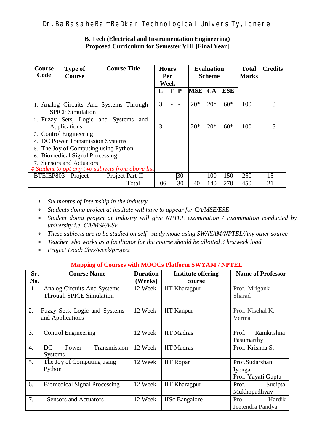### **B. Tech (Electrical and Instrumentation Engineering) Proposed Curriculum for Semester VIII [Final Year]**

| Course<br>Code                                    | <b>Type of</b><br><b>Course</b> | <b>Course Title</b>                    | <b>Hours</b><br>Per |                          | <b>Evaluation</b><br><b>Scheme</b> |            |       | <b>Total</b><br><b>Marks</b> | <b>Credits</b> |    |
|---------------------------------------------------|---------------------------------|----------------------------------------|---------------------|--------------------------|------------------------------------|------------|-------|------------------------------|----------------|----|
|                                                   |                                 |                                        | Week                |                          |                                    |            |       |                              |                |    |
|                                                   |                                 |                                        | L                   | T                        | $\mathbf P$                        | <b>MSE</b> | CA    | <b>ESE</b>                   |                |    |
|                                                   |                                 | 1. Analog Circuits And Systems Through | 3                   |                          |                                    | $20*$      | $20*$ | $60*$                        | 100            | 3  |
| <b>SPICE Simulation</b>                           |                                 |                                        |                     |                          |                                    |            |       |                              |                |    |
| 2. Fuzzy Sets, Logic and Systems<br>and           |                                 |                                        |                     |                          |                                    |            |       |                              |                |    |
| Applications                                      |                                 |                                        | 3                   | $\overline{a}$           |                                    | $20*$      | $20*$ | $60*$                        | 100            | 3  |
| 3. Control Engineering                            |                                 |                                        |                     |                          |                                    |            |       |                              |                |    |
| 4. DC Power Transmission Systems                  |                                 |                                        |                     |                          |                                    |            |       |                              |                |    |
| 5. The Joy of Computing using Python              |                                 |                                        |                     |                          |                                    |            |       |                              |                |    |
| <b>Biomedical Signal Processing</b><br>6.         |                                 |                                        |                     |                          |                                    |            |       |                              |                |    |
| 7. Sensors and Actuators                          |                                 |                                        |                     |                          |                                    |            |       |                              |                |    |
| # Student to opt any two subjects from above list |                                 |                                        |                     |                          |                                    |            |       |                              |                |    |
| BTEIEP803                                         | Project                         | Project Part-II                        |                     | $\overline{\phantom{a}}$ | 30                                 |            | 100   | 150                          | 250            | 15 |
|                                                   |                                 | Total                                  | 06                  |                          | 30                                 | 40         | 140   | 270                          | 450            | 21 |

*Six months of Internship in the industry*

*Students doing project at institute will have to appear for CA/MSE/ESE*

- *Student doing project at Industry will give NPTEL examination / Examination conducted by university i.e. CA/MSE/ESE*
- *These subjects are to be studied on self –study mode using SWAYAM/NPTEL/Any other source*
- *Teacher who works as a facilitator for the course should be allotted 3 hrs/week load.*
- *Project Load: 2hrs/week/project*

## **Mapping of Courses with MOOCs Platform SWYAM / NPTEL**

| Sr.              | <b>Course Name</b>                  | <b>Duration</b> | <b>Institute offering</b> | <b>Name of Professor</b> |  |
|------------------|-------------------------------------|-----------------|---------------------------|--------------------------|--|
| No.              |                                     | (Weeks)         | course                    |                          |  |
| 1.               | Analog Circuits And Systems         | 12 Week         | <b>IIT Kharagpur</b>      | Prof. Mrigank            |  |
|                  | <b>Through SPICE Simulation</b>     |                 |                           | Sharad                   |  |
|                  |                                     |                 |                           |                          |  |
| 2.               | Fuzzy Sets, Logic and Systems       | 12 Week         | <b>IIT Kanpur</b>         | Prof. Nischal K.         |  |
| and Applications |                                     |                 |                           | Verma                    |  |
|                  |                                     |                 |                           |                          |  |
| 3.               | <b>Control Engineering</b>          | 12 Week         | <b>IIT Madras</b>         | Prof.<br>Ramkrishna      |  |
|                  |                                     |                 | Pasumarthy                |                          |  |
| $\overline{4}$ . | Transmission<br>DC<br>Power         | 12 Week         | <b>IIT Madras</b>         | Prof. Krishna S.         |  |
|                  | <b>Systems</b>                      |                 |                           |                          |  |
| 5.               | The Joy of Computing using          | 12 Week         | <b>IIT</b> Ropar          | Prof.Sudarshan           |  |
|                  | Python                              |                 |                           | Iyengar                  |  |
|                  |                                     |                 |                           | Prof. Yayati Gupta       |  |
| 6.               | <b>Biomedical Signal Processing</b> | 12 Week         | <b>IIT Kharagpur</b>      | Prof.<br>Sudipta         |  |
|                  |                                     |                 |                           | Mukhopadhyay             |  |
| 7.               | <b>Sensors and Actuators</b>        | 12 Week         | <b>IISc Bangalore</b>     | Hardik<br>Pro.           |  |
|                  |                                     |                 |                           | Jeetendra Pandya         |  |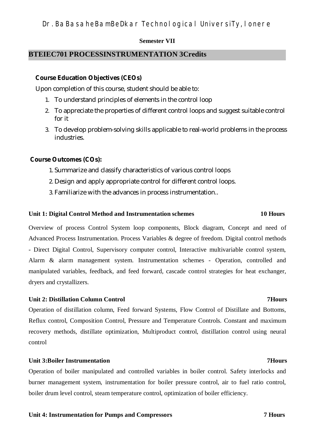### **Semester VII**

## **BTEIEC701 PROCESSINSTRUMENTATION 3Credits**

### **Course Education Objectives (CEOs)**

Upon completion of this course, student should be able to:

- 1. To understand principles of elements in the control loop
- 2. To appreciate the properties of different control loops and suggest suitable control for it
- 3. To develop problem-solving skills applicable to real-world problems in the process industries.

### **Course Outcomes (COs):**

- 1. Summarize and classify characteristics of various control loops
- 2. Design and apply appropriate control for different control loops.
- 3. Familiarize with the advances in process instrumentation..

### **Unit 1: Digital Control Method and Instrumentation schemes 10 Hours**

Overview of process Control System loop components, Block diagram, Concept and need of Advanced Process Instrumentation. Process Variables & degree of freedom. Digital control methods - Direct Digital Control, Supervisory computer control, Interactive multivariable control system, Alarm & alarm management system. Instrumentation schemes - Operation, controlled and manipulated variables, feedback, and feed forward, cascade control strategies for heat exchanger, dryers and crystallizers.

### **Unit 2: Distillation Column Control 7Hours**

Operation of distillation column, Feed forward Systems, Flow Control of Distillate and Bottoms, Reflux control, Composition Control, Pressure and Temperature Controls. Constant and maximum recovery methods, distillate optimization, Multiproduct control, distillation control using neural control

## **Unit 3:Boiler Instrumentation 7Hours**

Operation of boiler manipulated and controlled variables in boiler control. Safety interlocks and burner management system, instrumentation for boiler pressure control, air to fuel ratio control, boiler drum level control, steam temperature control, optimization of boiler efficiency.

### **Unit 4: Instrumentation for Pumps and Compressors 7 Hours**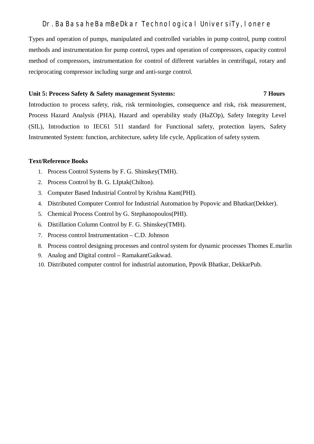Types and operation of pumps, manipulated and controlled variables in pump control, pump control methods and instrumentation for pump control, types and operation of compressors, capacity control method of compressors, instrumentation for control of different variables in centrifugal, rotary and reciprocating compressor including surge and anti-surge control.

### **Unit 5: Process Safety & Safety management Systems: 7 Hours**

Introduction to process safety, risk, risk terminologies, consequence and risk, risk measurement, Process Hazard Analysis (PHA), Hazard and operability study (HaZOp), Safety Integrity Level (SIL), Introduction to IEC61 511 standard for Functional safety, protection layers, Safety Instrumented System: function, architecture, safety life cycle, Application of safety system.

### **Text/Reference Books**

- 1. Process Control Systems by F. G. Shinskey(TMH).
- 2. Process Control by B. G. LIptak(Chilton).
- 3. Computer Based Industrial Control by Krishna Kant(PHI).
- 4. Distributed Computer Control for Industrial Automation by Popovic and Bhatkar(Dekker).
- 5. Chemical Process Control by G. Stephanopoulos(PHI).
- 6. Distillation Column Control by F. G. Shinskey(TMH).
- 7. Process control Instrumentation C.D. Johnson
- 8. Process control designing processes and control system for dynamic processes Thomes E.marlin
- 9. Analog and Digital control RamakantGaikwad.
- 10. Distributed computer control for industrial automation, Ppovik Bhatkar, DekkarPub.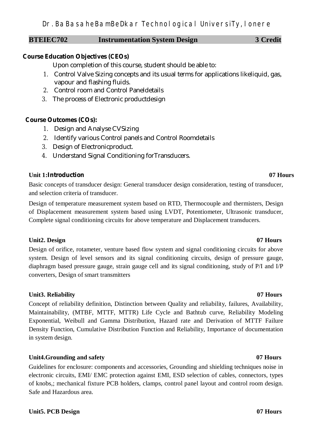## **BTEIEC702** Instrumentation System Design 3 Credit

## **Course Education Objectives (CEOs)**

Upon completion of this course, student should be able to:

- 1. Control Valve Sizing concepts and its usual terms for applications likeliquid, gas, vapour and flashing fluids.
- 2. Control room and Control Paneldetails
- 3. The process of Electronic productdesign

## **Course Outcomes (COs):**

- 1. Design and Analyse CVSizing
- 2. Identify various Control panels and Control Roomdetails
- 3. Design of Electronicproduct.
- 4. Understand Signal Conditioning forTransducers.

## **Unit 1:Introduction 07 Hours**

Basic concepts of transducer design: General transducer design consideration, testing of transducer, and selection criteria of transducer.

Design of temperature measurement system based on RTD, Thermocouple and thermisters, Design of Displacement measurement system based using LVDT, Potentiometer, Ultrasonic transducer, Complete signal conditioning circuits for above temperature and Displacement transducers.

## Unit2. Design 07 Hours

Design of orifice, rotameter, venture based flow system and signal conditioning circuits for above system. Design of level sensors and its signal conditioning circuits, design of pressure gauge, diaphragm based pressure gauge, strain gauge cell and its signal conditioning, study of P/I and I/P converters, Design of smart transmitters

## **Unit3. Reliability 07 Hours**

Concept of reliability definition, Distinction between Quality and reliability, failures, Availability, Maintainability, (MTBF, MTTF, MTTR) Life Cycle and Bathtub curve, Reliability Modeling Exponential, Weibull and Gamma Distribution, Hazard rate and Derivation of MTTF Failure Density Function, Cumulative Distribution Function and Reliability, Importance of documentation in system design.

## **Unit4.Grounding and safety 07 Hours**

Guidelines for enclosure: components and accessories, Grounding and shielding techniques noise in electronic circuits, EMI/ EMC protection against EMI, ESD selection of cables, connectors, types of knobs,; mechanical fixture PCB holders, clamps, control panel layout and control room design. Safe and Hazardous area.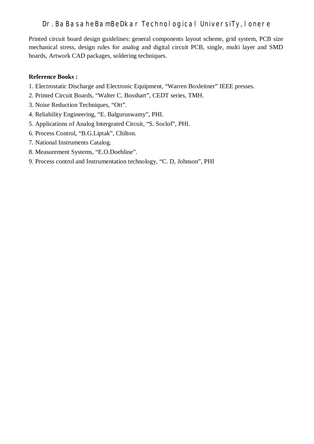Printed circuit board design guidelines: general components layout scheme, grid system, PCB size mechanical stress, design rules for analog and digital circuit PCB, single, multi layer and SMD boards, Artwork CAD packages, soldering techniques.

## **Reference Books :**

- 1. Electrostatic Discharge and Electronic Equipment, "Warren Boxleitner" IEEE presses.
- 2. Printed Circuit Boards, "Walter C. Bosshart", CEDT series, TMH.
- 3. Noise Reduction Techniques, "Ott".
- 4. Reliability Engineering, "E. Balguruswamy", PHI.
- 5. Applications of Analog Intergrated Circuit, "S. Soclof", PHI.
- 6. Process Control, "B.G.Liptak", Chilton.
- 7. National Instruments Catalog.
- 8. Measurement Systems, "E.O.Doebline".
- 9. Process control and Instrumentation technology, "C. D, Johnson", PHI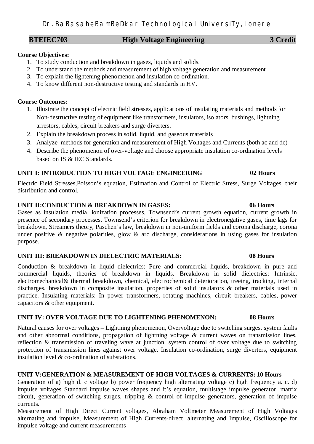## **BTEIEC703** High Voltage Engineering 3 Credit

## **Course Objectives:**

- 1. To study conduction and breakdown in gases, liquids and solids.
- 2. To understand the methods and measurement of high voltage generation and measurement
- 3. To explain the lightening phenomenon and insulation co-ordination.
- 4. To know different non-destructive testing and standards in HV.

## **Course Outcomes:**

- 1. Illustrate the concept of electric field stresses, applications of insulating materials and methods for Non-destructive testing of equipment like transformers, insulators, isolators, bushings, lightning arrestors, cables, circuit breakers and surge diverters.
- 2. Explain the breakdown process in solid, liquid, and gaseous materials
- 3. Analyze methods for generation and measurement of High Voltages and Currents (both ac and dc)
- 4. Describe the phenomenon of over-voltage and choose appropriate insulation co-ordination levels based on IS & IEC Standards.

## **UNIT I: INTRODUCTION TO HIGH VOLTAGE ENGINEERING 02 Hours**

Electric Field Stresses,Poisson's equation, Estimation and Control of Electric Stress, Surge Voltages, their distribution and control.

## **UNIT II:CONDUCTION & BREAKDOWN IN GASES: 06 Hours**

Gases as insulation media, ionization processes, Townsend's current growth equation, current growth in presence of secondary processes, Townsend's criterion for breakdown in electronegative gases, time lags for breakdown, Streamers theory, Paschen's law, breakdown in non-uniform fields and corona discharge, corona under positive  $\&$  negative polarities, glow  $\&$  arc discharge, considerations in using gases for insulation purpose.

## **UNIT III: BREAKDOWN IN DIELECTRIC MATERIALS: 08 Hours**

Conduction & breakdown in liquid dielectrics: Pure and commercial liquids, breakdown in pure and commercial liquids, theories of breakdown in liquids. Breakdown in solid dielectrics: Intrinsic, electromechanical& thermal breakdown, chemical, electrochemical deterioration, treeing, tracking, internal discharges, breakdown in composite insulation, properties of solid insulators & other materials used in practice. Insulating materials: In power transformers, rotating machines, circuit breakers, cables, power capacitors & other equipment.

## **UNIT IV: OVER VOLTAGE DUE TO LIGHTENING PHENOMENON: 08 Hours**

Natural causes for over voltages – Lightning phenomenon, Overvoltage due to switching surges, system faults and other abnormal conditions, propagation of lightning voltage & current waves on transmission lines, reflection & transmission of traveling wave at junction, system control of over voltage due to switching protection of transmission lines against over voltage. Insulation co-ordination, surge diverters, equipment insulation level & co-ordination of substations.

## **UNIT V:GENERATION & MEASUREMENT OF HIGH VOLTAGES & CURRENTS: 10 Hours**

Generation of a) high d. c voltage b) power frequency high alternating voltage c) high frequency a. c. d) impulse voltages Standard impulse waves shapes and it's equation, multistage impulse generator, matrix circuit, generation of switching surges, tripping  $\&$  control of impulse generators, generation of impulse currents.

Measurement of High Direct Current voltages, Abraham Voltmeter Measurement of High Voltages alternating and impulse, Measurement of High Currents-direct, alternating and Impulse, Oscilloscope for impulse voltage and current measurements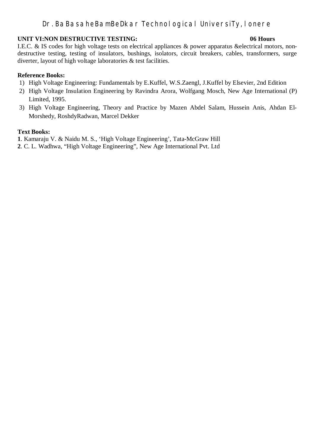### **UNIT VI:NON DESTRUCTIVE TESTING: 06 Hours**

I.E.C. & IS codes for high voltage tests on electrical appliances & power apparatus &electrical motors, nondestructive testing, testing of insulators, bushings, isolators, circuit breakers, cables, transformers, surge diverter, layout of high voltage laboratories & test facilities.

### **Reference Books:**

- 1) High Voltage Engineering: Fundamentals by E.Kuffel, W.S.Zaengl, J.Kuffel by Elsevier, 2nd Edition
- 2) High Voltage Insulation Engineering by Ravindra Arora, Wolfgang Mosch, New Age International (P) Limited, 1995.
- 3) High Voltage Engineering, Theory and Practice by Mazen Abdel Salam, Hussein Anis, Ahdan El-Morshedy, RoshdyRadwan, Marcel Dekker

### **Text Books:**

**1**. Kamaraju V. & Naidu M. S., 'High Voltage Engineering', Tata-McGraw Hill

**2**. C. L. Wadhwa, "High Voltage Engineering", New Age International Pvt. Ltd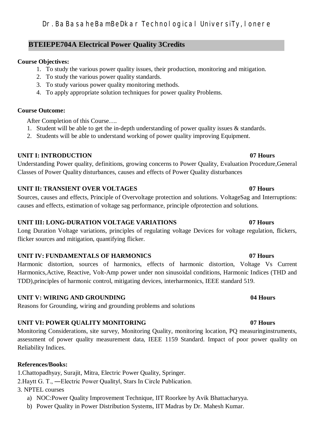# **BTEIEPE704A Electrical Power Quality 3Credits**

## **Course Objectives:**

- 1. To study the various power quality issues, their production, monitoring and mitigation.
- 2. To study the various power quality standards.
- 3. To study various power quality monitoring methods.
- 4. To apply appropriate solution techniques for power quality Problems.

## **Course Outcome:**

After Completion of this Course….

- 1. Student will be able to get the in-depth understanding of power quality issues  $\&$  standards.
- 2. Students will be able to understand working of power quality improving Equipment.

# **UNIT I: INTRODUCTION 07 Hours**

Understanding Power quality, definitions, growing concerns to Power Quality, Evaluation Procedure,General Classes of Power Quality disturbances, causes and effects of Power Quality disturbances

# **UNIT II: TRANSIENT OVER VOLTAGES 07 Hours**

Sources, causes and effects, Principle of Overvoltage protection and solutions. VoltageSag and Interruptions: causes and effects, estimation of voltage sag performance, principle ofprotection and solutions.

# **UNIT III: LONG-DURATION VOLTAGE VARIATIONS 07 Hours**

Long Duration Voltage variations, principles of regulating voltage Devices for voltage regulation, flickers, flicker sources and mitigation, quantifying flicker.

# **UNIT IV: FUNDAMENTALS OF HARMONICS 07 Hours**

Harmonic distortion, sources of harmonics, effects of harmonic distortion, Voltage Vs Current Harmonics,Active, Reactive, Volt-Amp power under non sinusoidal conditions, Harmonic Indices (THD and TDD),principles of harmonic control, mitigating devices, interharmonics, IEEE standard 519.

# **UNIT V: WIRING AND GROUNDING 04 Hours**

Reasons for Grounding, wiring and grounding problems and solutions

# **UNIT VI: POWER QUALITY MONITORING 07 Hours**

Monitoring Considerations, site survey, Monitoring Quality, monitoring location, PQ measuringinstruments, assessment of power quality measurement data, IEEE 1159 Standard. Impact of poor power quality on Reliability Indices.

# **References/Books:**

1.Chattopadhyay, Surajit, Mitra, Electric Power Quality, Springer.

2.Haytt G. T., ―Electric Power Quality‖, Stars In Circle Publication.

3. NPTEL courses

- a) NOC:Power Quality Improvement Technique, IIT Roorkee by Avik Bhattacharyya.
- b) Power Quality in Power Distribution Systems, IIT Madras by Dr. Mahesh Kumar.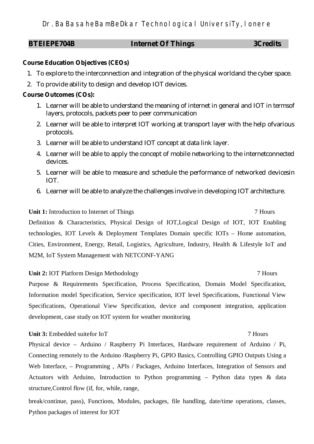| <b>BTEIEPE704B</b> | <b>Internet Of Things</b> | <b>3Credits</b> |
|--------------------|---------------------------|-----------------|
|                    |                           |                 |

### **Course Education Objectives (CEOs)**

- 1. To explore to the interconnection and integration of the physical worldand the cyber space.
- 2. To provide ability to design and develop IOT devices.

### **Course Outcomes (COs):**

- 1. Learner will be able to understand the meaning of internet in general and IOT in termsof layers, protocols, packets peer to peer communication
- 2. Learner will be able to interpret IOT working at transport layer with the help ofvarious protocols.
- 3. Learner will be able to understand IOT concept at data link layer.
- 4. Learner will be able to apply the concept of mobile networking to the internetconnected devices.
- 5. Learner will be able to measure and schedule the performance of networked devicesin IOT.
- 6. Learner will be able to analyze the challenges involve in developing IOT architecture.

### Unit 1: Introduction to Internet of Things 7 Hours

Definition & Characteristics, Physical Design of IOT,Logical Design of IOT, IOT Enabling technologies, IOT Levels & Deployment Templates Domain specific IOTs – Home automation, Cities, Environment, Energy, Retail, Logistics, Agriculture, Industry, Health & Lifestyle IoT and M2M, IoT System Management with NETCONF-YANG

### **Unit 2: IOT Platform Design Methodology 7 Hours** 7 Hours

Purpose & Requirements Specification, Process Specification, Domain Model Specification, Information model Specification, Service specification, IOT level Specifications, Functional View Specifications, Operational View Specification, device and component integration, application development, case study on IOT system for weather monitoring

### **Unit 3:** Embedded suitefor IoT 7 Hours

Physical device – Arduino / Raspberry Pi Interfaces, Hardware requirement of Arduino / Pi, Connecting remotely to the Arduino /Raspberry Pi, GPIO Basics, Controlling GPIO Outputs Using a Web Interface, – Programming, APIs / Packages, Arduino Interfaces, Integration of Sensors and Actuators with Arduino, Introduction to Python programming – Python data types & data structure,Control flow (if, for, while, range,

break/continue, pass), Functions, Modules, packages, file handling, date/time operations, classes, Python packages of interest for IOT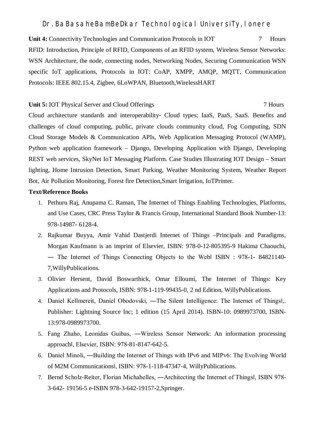**Unit 4:** Connectivity Technologies and Communication Protocols in IOT 7 Hours RFID: Introduction, Principle of RFID, Components of an RFID system, Wireless Sensor Networks: WSN Architecture, the node, connecting nodes, Networking Nodes, Securing Communication WSN specific IoT applications, Protocols in IOT: CoAP, XMPP, AMQP, MQTT, Communication Protocols: IEEE 802.15.4, Zigbee, 6LoWPAN, Bluetooth,WirelessHART

### Unit 5: IOT Physical Server and Cloud Offerings 7 Hours 7 Hours

Cloud architecture standards and interoperability- Cloud types; IaaS, PaaS, SaaS. Benefits and challenges of cloud computing, public, private clouds community cloud, Fog Computing, SDN Cloud Storage Models & Communication APIs, Web Application Messaging Protocol (WAMP), Python web application framework – Django, Developing Application with Django, Developing REST web services, SkyNet IoT Messaging Platform. Case Studies Illustrating IOT Design – Smart lighting, Home Intrusion Detection, Smart Parking, Weather Monitoring System, Weather Report Bot, Air Pollution Monitoring, Forest fire Detection,Smart Irrigation, IoTPrinter.

### **Text/Reference Books**

- 1. Pethuru Raj, Anupama C. Raman, The Internet of Things Enabling Technologies, Platforms, and Use Cases, CRC Press Taylor & Francis Group, International Standard Book Number-13: 978-14987- 6128-4.
- 2. Rajkumar Buyya, Amir Vahid Dastjerdi Internet of Things –Principals and Paradigms, Morgan Kaufmann is an imprint of Elsevier, ISBN: 978-0-12-805395-9 Hakima Chaouchi, ― The Internet of Things Connecting Objects to the Web‖ ISBN : 978-1- 84821140- 7,WillyPublications.
- 3. Olivier Hersent, David Boswarthick, Omar Elloumi, The Internet of Things: Key Applications and Protocols, ISBN: 978-1-119-99435-0, 2 nd Edition, WillyPublications.
- 4. Daniel Kellmereit, Daniel Obodovski, ―The Silent Intelligence: The Internet of Things‖,. Publisher: Lightning Source Inc; 1 edition (15 April 2014). ISBN-10: 0989973700, ISBN-13:978-0989973700.
- 5. Fang Zhaho, Leonidas Guibas, ―Wireless Sensor Network: An information processing approach‖, Elsevier, ISBN: 978-81-8147-642-5.
- 6. Daniel Minoli, ―Building the Internet of Things with IPv6 and MIPv6: The Evolving World of M2M Communications‖, ISBN: 978-1-118-47347-4, WillyPublications.
- 7. Bernd Scholz-Reiter, Florian Michahelles, ―Architecting the Internet of Things‖, ISBN 978- 3-642- 19156-5 e-ISBN 978-3-642-19157-2,Springer.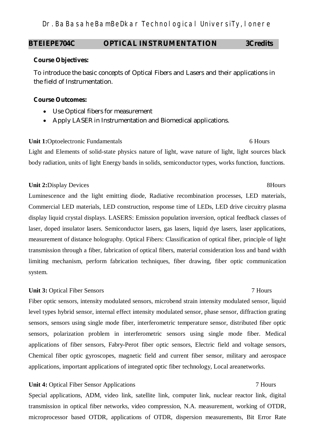## **BTEIEPE704C OPTICAL INSTRUMENTATION 3Credits**

### **Course Objectives:**

To introduce the basic concepts of Optical Fibers and Lasers and their applications in the field of Instrumentation.

### **Course Outcomes:**

- Use Optical fibers for measurement
- Apply LASER in Instrumentation and Biomedical applications.

### **Unit 1:**Optoelectronic Fundamentals 6 Hours

Light and Elements of solid-state physics nature of light, wave nature of light, light sources black body radiation, units of light Energy bands in solids, semiconductor types, works function, functions.

### **Unit 2:**Display Devices 8Hours

# Luminescence and the light emitting diode, Radiative recombination processes, LED materials, Commercial LED materials, LED construction, response time of LEDs, LED drive circuitry plasma display liquid crystal displays. LASERS: Emission population inversion, optical feedback classes of laser, doped insulator lasers. Semiconductor lasers, gas lasers, liquid dye lasers, laser applications, measurement of distance holography. Optical Fibers: Classification of optical fiber, principle of light transmission through a fiber, fabrication of optical fibers, material consideration loss and band width limiting mechanism, perform fabrication techniques, fiber drawing, fiber optic communication system.

## **Unit 3:** Optical Fiber Sensors 7 Hours 7 Hours 7 2008

# Fiber optic sensors, intensity modulated sensors, microbend strain intensity modulated sensor, liquid level types hybrid sensor, internal effect intensity modulated sensor, phase sensor, diffraction grating sensors, sensors using single mode fiber, interferometric temperature sensor, distributed fiber optic sensors, polarization problem in interferometric sensors using single mode fiber. Medical applications of fiber sensors, Fabry-Perot fiber optic sensors, Electric field and voltage sensors, Chemical fiber optic gyroscopes, magnetic field and current fiber sensor, military and aerospace applications, important applications of integrated optic fiber technology, Local areanetworks.

## **Unit 4:** Optical Fiber Sensor Applications 7 Hours

Special applications, ADM, video link, satellite link, computer link, nuclear reactor link, digital transmission in optical fiber networks, video compression, N.A. measurement, working of OTDR, microprocessor based OTDR, applications of OTDR, dispersion measurements, Bit Error Rate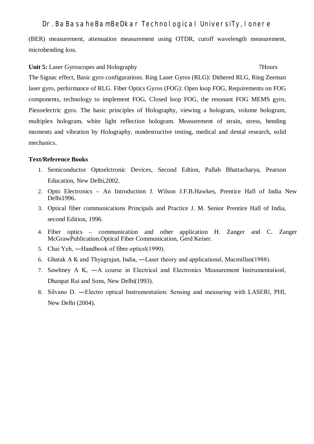(BER) measurement, attenuation measurement using OTDR, cutoff wavelength measurement, microbending loss.

### **Unit 5:** Laser Gyroscopes and Holography 7Hours

The Signac effect, Basic gyro configurations. Ring Laser Gyros (RLG): Dithered RLG, Ring Zeeman laser gyro, performance of RLG. Fiber Optics Gyros (FOG): Open loop FOG, Requirements on FOG components, technology to implement FOG, Closed loop FOG, the resonant FOG MEMS gyro, Piezoelectric gyro. The basic principles of Holography, viewing a hologram, volume hologram, multiplex hologram, white light reflection hologram. Measurement of strain, stress, bending moments and vibration by Holography, nondestructive testing, medical and dental research, solid mechanics.

## **Text/Reference Books**

- 1. Semiconductor Optoelctronic Devices, Second Edtion, Pallab Bhattacharya, Pearson Education, New Delhi,2002.
- 2. Opto Electronics An Introduction J. Wilson J.F.B.Hawkes, Prentice Hall of India New Delhi1996.
- 3. Optical fiber communications Principals and Practice J. M. Senior Prentice Hall of India, second Edition, 1996.
- 4. Fiber optics communication and other application H. Zanger and C. Zanger McGrawPublication.Optical Fiber Communication, Gerd Keiser.
- 5. Chai Yeh, ―Handbook of fibre optics‖(1990).
- 6. Ghatak A K and Thyagrajan, India, ―Laser theory and applications‖, Macmillan(1988).
- 7. Sawhney A K, ―A course in Electrical and Electronics Measurement Instrumentation‖, Dhanpat Rai and Sons, New Delhi(1993).
- 8. Silvano D. ―Electro optical Instrumentation: Sensing and measuring with LASER‖, PHI, New Delhi (2004).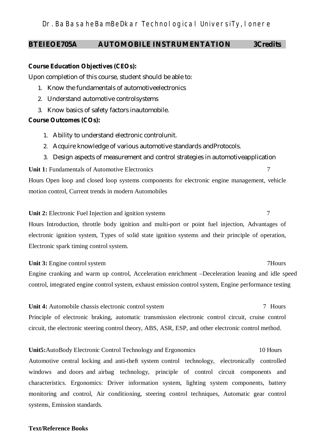## **BTEIEOE705A AUTOMOBILE INSTRUMENTATION 3Credits**

## **Course Education Objectives (CEOs):**

Upon completion of this course, student should be able to:

- 1. Know the fundamentals of automotiveelectronics
- 2. Understand automotive controlsystems
- 3. Know basics of safety factors inautomobile.

## **Course Outcomes (COs):**

- 1. Ability to understand electronic controlunit.
- 2. Acquire knowledge of various automotive standards andProtocols.
- 3. Design aspects of measurement and control strategies in automotiveapplication

**Unit 1:** Fundamentals of Automotive Electronics 7

Hours Open loop and closed loop systems components for electronic engine management, vehicle motion control, Current trends in modern Automobiles

**Unit 2:** Electronic Fuel Injection and ignition systems 7

Hours Introduction, throttle body ignition and multi-port or point fuel injection, Advantages of electronic ignition system, Types of solid state ignition systems and their principle of operation, Electronic spark timing control system.

**Unit 3:** Engine control system 7Hours Engine cranking and warm up control, Acceleration enrichment –Deceleration leaning and idle speed control, integrated engine control system, exhaust emission control system, Engine performance testing

**Unit 4:** Automobile chassis electronic control system 7 Hours Principle of electronic braking, automatic transmission electronic control circuit, cruise control circuit, the electronic steering control theory, ABS, ASR, ESP, and other electronic control method.

**Unit5:**AutoBody Electronic Control Technology and Ergonomics 10 Hours Automotive central locking and anti-theft system control technology, electronically controlled windows and doors and airbag technology, principle of control circuit components and characteristics. Ergonomics: Driver information system, lighting system components, battery monitoring and control, Air conditioning, steering control techniques, Automatic gear control systems, Emission standards.

## **Text/Reference Books**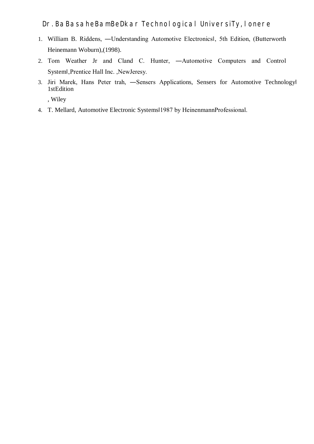- 1. William B. Riddens, —Understanding Automotive Electronics , 5th Edition, (Butterworth Heinemann Woburn),(1998).
- 2. Tom Weather Jr and Cland C. Hunter, ―Automotive Computers and Control Systeml, Prentice Hall Inc., NewJeresy.
- 3. Jiri Marek, Hans Peter trah, -Sensers Applications, Sensers for Automotive Technology 1stEdition

, Wiley

4. T. Mellard, Automotive Electronic Systems‖1987 by HeinenmannProfessional.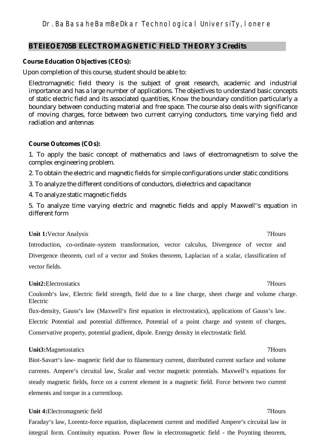## **BTEIEOE705B ELECTROMAGNETIC FIELD THEORY 3 Credits**

### **Course Education Objectives (CEOs):**

Upon completion of this course, student should be able to:

Electromagnetic field theory is the subject of great research, academic and industrial importance and has a large number of applications. The objectives to understand basic concepts of static electric field and its associated quantities, Know the boundary condition particularly a boundary between conducting material and free space. The course also deals with significance of moving charges, force between two current carrying conductors, time varying field and radiation and antennas

### **Course Outcomes (COs):**

1. To apply the basic concept of mathematics and laws of electromagnetism to solve the complex engineering problem.

2. To obtain the electric and magnetic fields for simple configurations under static conditions

3. To analyze the different conditions of conductors, dielectrics and capacitance

4. To analyze static magnetic fields

5. To analyze time varying electric and magnetic fields and apply Maxwell"s equation in different form

### **Unit 1:**Vector Analysis **7Hours** 7Hours

Introduction, co-ordinate–system transformation, vector calculus, Divergence of vector and Divergence theorem, curl of a vector and Stokes theorem, Laplacian of a scalar, classification of vector fields.

### **Unit2:**Electrostatics 7Hours

Coulomb's law, Electric field strength, field due to a line charge, sheet charge and volume charge. Electric

flux-density, Gauss's law (Maxwell's first equation in electrostatics), applications of Gauss's law. Electric Potential and potential difference, Potential of a point charge and system of charges, Conservative property, potential gradient, dipole. Energy density in electrostatic field.

## **Unit3:**Magnetostatics 7Hours

Biot-Savart's law- magnetic field due to filamentary current, distributed current surface and volume currents. Ampere's circuital law, Scalar and vector magnetic potentials. Maxwell's equations for steady magnetic fields, force on a current element in a magnetic field. Force between two current elements and torque in a currentloop.

### **Unit 4:**Electromagnetic field 7Hours

Faraday's law, Lorentz-force equation, displacement current and modified Ampere's circuital law in integral form. Continuity equation. Power flow in electromagnetic field - the Poynting theorem,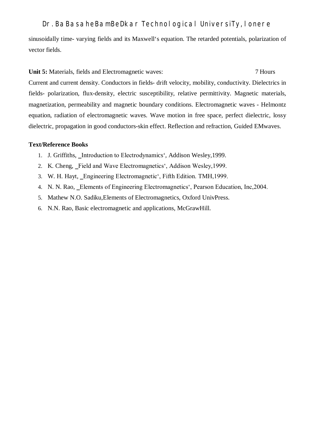sinusoidally time- varying fields and its Maxwell's equation. The retarded potentials, polarization of vector fields.

**Unit 5:** Materials, fields and Electromagnetic waves: 7 Hours

Current and current density. Conductors in fields- drift velocity, mobility, conductivity. Dielectrics in fields- polarization, flux-density, electric susceptibility, relative permittivity. Magnetic materials, magnetization, permeability and magnetic boundary conditions. Electromagnetic waves - Helmontz equation, radiation of electromagnetic waves. Wave motion in free space, perfect dielectric, lossy dielectric, propagation in good conductors-skin effect. Reflection and refraction, Guided EMwaves.

### **Text/Reference Books**

- 1. J. Griffiths, Introduction to Electrodynamics', Addison Wesley, 1999.
- 2. K. Cheng, Field and Wave Electromagnetics', Addison Wesley, 1999.
- 3. W. H. Hayt, Engineering Electromagnetic', Fifth Edition. TMH, 1999.
- 4. N. N. Rao, Elements of Engineering Electromagnetics', Pearson Education, Inc, 2004.
- 5. Mathew N.O. Sadiku,Elements of Electromagnetics, Oxford UnivPress.
- 6. N.N. Rao, Basic electromagnetic and applications, McGrawHill.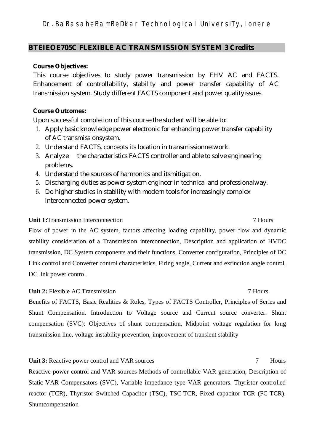## **BTEIEOE705C FLEXIBLE AC TRANSMISSION SYSTEM 3 Credits**

## **Course Objectives:**

This course objectives to study power transmission by EHV AC and FACTS. Enhancement of controllability, stability and power transfer capability of AC transmission system. Study different FACTS component and power qualityissues.

## **Course Outcomes:**

Upon successful completion of this course the student will be able to:

- 1. Apply basic knowledge power electronic for enhancing power transfer capability of AC transmissionsystem.
- 2. Understand FACTS, concepts its location in transmissionnetwork.
- 3. Analyze the characteristics FACTS controller and able to solve engineering problems.
- 4. Understand the sources of harmonics and itsmitigation.
- 5. Discharging duties as power system engineer in technical and professionalway.
- 6. Do higher studies in stability with modern tools for increasingly complex interconnected power system.

## **Unit 1:**Transmission Interconnection 7 Hours

Flow of power in the AC system, factors affecting loading capability, power flow and dynamic stability consideration of a Transmission interconnection, Description and application of HVDC transmission, DC System components and their functions, Converter configuration, Principles of DC Link control and Converter control characteristics, Firing angle, Current and extinction angle control, DC link power control

## **Unit 2:** Flexible AC Transmission 7 Hours

Benefits of FACTS, Basic Realities & Roles, Types of FACTS Controller, Principles of Series and Shunt Compensation. Introduction to Voltage source and Current source converter. Shunt compensation (SVC): Objectives of shunt compensation, Midpoint voltage regulation for long transmission line, voltage instability prevention, improvement of transient stability

## Unit 3: Reactive power control and VAR sources 7 Hours

Reactive power control and VAR sources Methods of controllable VAR generation, Description of Static VAR Compensators (SVC), Variable impedance type VAR generators. Thyristor controlled reactor (TCR), Thyristor Switched Capacitor (TSC), TSC-TCR, Fixed capacitor TCR (FC-TCR). Shuntcompensation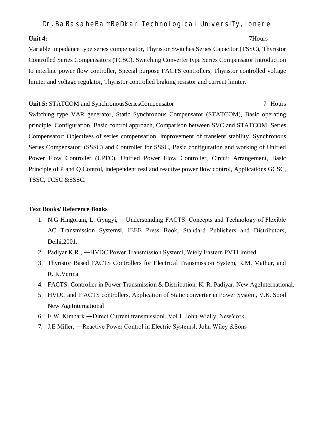### **Unit 4:** 7Hours

Variable impedance type series compensator, Thyristor Switches Series Capacitor (TSSC), Thyristor Controlled Series Compensators (TCSC). Switching Converter type Series Compensator Introduction to interline power flow controller, Special purpose FACTS controllers, Thyristor controlled voltage limiter and voltage regulator, Thyristor controlled braking resistor and current limiter.

### **Unit 5: STATCOM** and SynchronousSeriesCompensator 7 Hours 7 Hours

Switching type VAR generator, Static Synchronous Compensator (STATCOM), Basic operating principle, Configuration. Basic control approach, Comparison between SVC and STATCOM. Series Compensator: Objectives of series compensation, improvement of transient stability. Synchronous Series Compensator: (SSSC) and Controller for SSSC, Basic configuration and working of Unified Power Flow Controller (UPFC). Unified Power Flow Controller, Circuit Arrangement, Basic Principle of P and Q Control, independent real and reactive power flow control, Applications GCSC, TSSC, TCSC &SSSC.

### **Text Books/ Reference Books**

- 1. N.G Hingorani, L. Gyugyi, ―Understanding FACTS: Concepts and Technology of Flexible AC Transmission Systems‖, IEEE Press Book, Standard Publishers and Distributors, Delhi,2001.
- 2. Padiyar K.R., ―HVDC Power Transmission System‖, Wiely Eastern PVTLimited.
- 3. Thyristor Based FACTS Controllers for Electrical Transmission System, R.M. Mathur, and R. K.Verma
- 4. FACTS: Controller in Power Transmission & Distribution, K. R. Padiyar, New AgeInternational.
- 5. HVDC and F ACTS controllers, Application of Static converter in Power System, V.K. Sood New AgeInternational
- 6. E.W. Kimbark ―Direct Current transmission‖, Vol.1, John Wielly, NewYork.
- 7. J.E Miller, ―Reactive Power Control in Electric Systems‖, John Wiley &Sons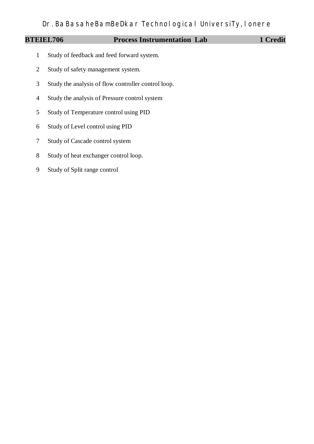## **BTEIEL706** Process Instrumentation Lab 1 Credit

- Study of feedback and feed forward system.
- Study of safety management system.
- Study the analysis of flow controller control loop.
- Study the analysis of Pressure control system
- Study of Temperature control using PID
- Study of Level control using PID
- Study of Cascade control system
- Study of heat exchanger control loop.
- Study of Split range control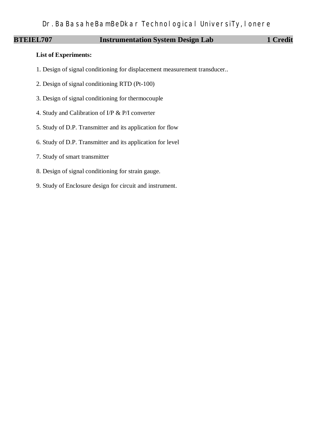## **BTEIEL707** Instrumentation System Design Lab 1 Credit

### **List of Experiments:**

- 1. Design of signal conditioning for displacement measurement transducer..
- 2. Design of signal conditioning RTD (Pt-100)
- 3. Design of signal conditioning for thermocouple
- 4. Study and Calibration of I/P & P/I converter
- 5. Study of D.P. Transmitter and its application for flow
- 6. Study of D.P. Transmitter and its application for level
- 7. Study of smart transmitter
- 8. Design of signal conditioning for strain gauge.
- 9. Study of Enclosure design for circuit and instrument.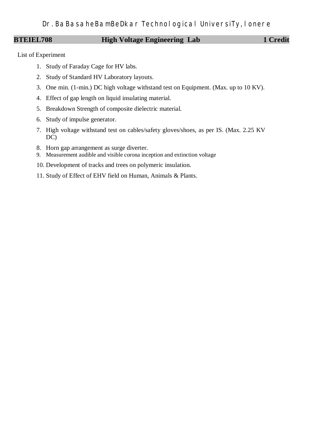## **BTEIEL708 High Voltage Engineering Lab** 1 Credit

List of Experiment

- 1. Study of Faraday Cage for HV labs.
- 2. Study of Standard HV Laboratory layouts.
- 3. One min. (1-min.) DC high voltage withstand test on Equipment. (Max. up to 10 KV).
- 4. Effect of gap length on liquid insulating material.
- 5. Breakdown Strength of composite dielectric material.
- 6. Study of impulse generator.
- 7. High voltage withstand test on cables/safety gloves/shoes, as per IS. (Max. 2.25 KV DC)
- 8. Horn gap arrangement as surge diverter.
- 9. Measurement audible and visible corona inception and extinction voltage
- 10. Development of tracks and trees on polymeric insulation.
- 11. Study of Effect of EHV field on Human, Animals & Plants.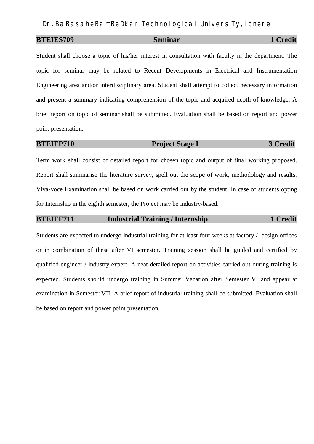## **BTEIES709** Seminar 1 Credit

Student shall choose a topic of his/her interest in consultation with faculty in the department. The topic for seminar may be related to Recent Developments in Electrical and Instrumentation Engineering area and/or interdisciplinary area. Student shall attempt to collect necessary information and present a summary indicating comprehension of the topic and acquired depth of knowledge. A brief report on topic of seminar shall be submitted. Evaluation shall be based on report and power point presentation.

## **BTEIEP710** Project Stage I 3 Credit

Term work shall consist of detailed report for chosen topic and output of final working proposed. Report shall summarise the literature survey, spell out the scope of work, methodology and results. Viva-voce Examination shall be based on work carried out by the student. In case of students opting for Internship in the eighth semester, the Project may be industry-based.

## **BTEIEF711** Industrial Training / Internship 1 Credit

Students are expected to undergo industrial training for at least four weeks at factory / design offices or in combination of these after VI semester. Training session shall be guided and certified by qualified engineer / industry expert. A neat detailed report on activities carried out during training is expected. Students should undergo training in Summer Vacation after Semester VI and appear at examination in Semester VII. A brief report of industrial training shall be submitted. Evaluation shall be based on report and power point presentation.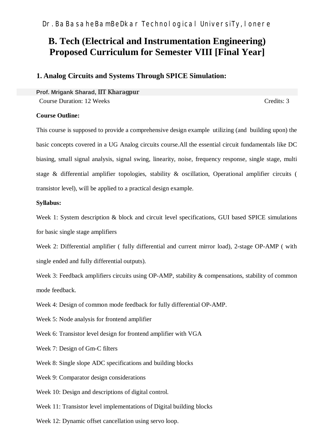# **B. Tech (Electrical and Instrumentation Engineering) Proposed Curriculum for Semester VIII [Final Year]**

## **1. Analog Circuits and Systems Through SPICE Simulation:**

**Prof. Mrigank Sharad, IIT Kharagpur** Course Duration: 12 Weeks Credits: 3

### **Course Outline:**

This course is supposed to provide a comprehensive design example utilizing (and building upon) the basic concepts covered in a UG Analog circuits course.All the essential circuit fundamentals like DC biasing, small signal analysis, signal swing, linearity, noise, frequency response, single stage, multi stage & differential amplifier topologies, stability & oscillation, Operational amplifier circuits ( transistor level), will be applied to a practical design example.

### **Syllabus:**

Week 1: System description & block and circuit level specifications, GUI based SPICE simulations for basic single stage amplifiers

Week 2: Differential amplifier ( fully differential and current mirror load), 2-stage OP-AMP ( with single ended and fully differential outputs).

Week 3: Feedback amplifiers circuits using OP-AMP, stability & compensations, stability of common mode feedback.

Week 4: Design of common mode feedback for fully differential OP-AMP.

Week 5: Node analysis for frontend amplifier

Week 6: Transistor level design for frontend amplifier with VGA

Week 7: Design of Gm-C filters

Week 8: Single slope ADC specifications and building blocks

Week 9: Comparator design considerations

Week 10: Design and descriptions of digital control.

Week 11: Transistor level implementations of Digital building blocks

Week 12: Dynamic offset cancellation using servo loop.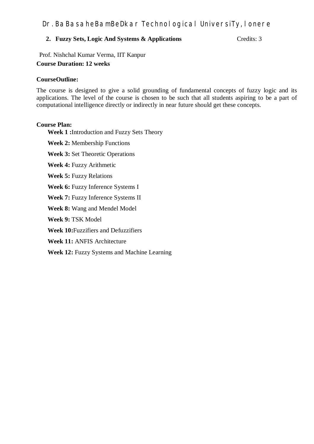## **2. Fuzzy Sets, Logic And Systems & Applications** Credits: 3

Prof. Nishchal Kumar Verma, IIT Kanpur **Course Duration: 12 weeks**

### **CourseOutline:**

The course is designed to give a solid grounding of fundamental concepts of fuzzy logic and its applications. The level of the course is chosen to be such that all students aspiring to be a part of computational intelligence directly or indirectly in near future should get these concepts.

### **Course Plan:**

**Week 1 :**Introduction and Fuzzy Sets Theory

**Week 2:** Membership Functions

**Week 3:** Set Theoretic Operations

**Week 4:** Fuzzy Arithmetic

**Week 5:** Fuzzy Relations

**Week 6:** Fuzzy Inference Systems I

**Week 7:** Fuzzy Inference Systems II

**Week 8:** Wang and Mendel Model

**Week 9:** TSK Model

**Week 10:**Fuzzifiers and Defuzzifiers

**Week 11:** ANFIS Architecture

**Week 12:** Fuzzy Systems and Machine Learning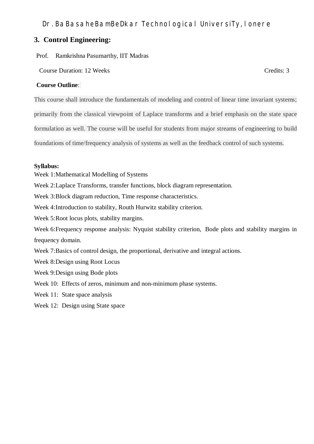## **3. Control Engineering:**

Prof. Ramkrishna Pasumarthy, IIT Madras

Course Duration: 12 Weeks Credits: 3

## **Course Outline**:

This course shall introduce the fundamentals of modeling and control of linear time invariant systems;

primarily from the classical viewpoint of Laplace transforms and a brief emphasis on the state space

formulation as well. The course will be useful for students from major streams of engineering to build

foundations of time/frequency analysis of systems as well as the feedback control of such systems.

### **Syllabus:**

Week 1:Mathematical Modelling of Systems

Week 2:Laplace Transforms, transfer functions, block diagram representation.

Week 3:Block diagram reduction, Time response characteristics.

Week 4:Introduction to stability, Routh Hurwitz stability criterion.

Week 5: Root locus plots, stability margins.

Week 6: Frequency response analysis: Nyquist stability criterion, Bode plots and stability margins in frequency domain.

Week 7:Basics of control design, the proportional, derivative and integral actions.

Week 8:Design using Root Locus

Week 9:Design using Bode plots

Week 10: Effects of zeros, minimum and non-minimum phase systems.

Week 11: State space analysis

Week 12: Design using State space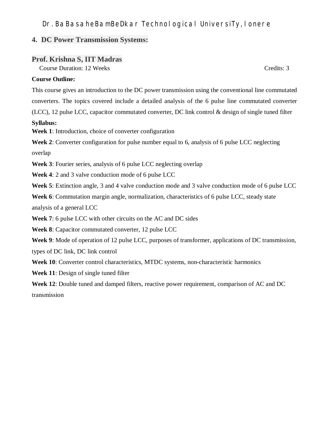## **4. DC Power Transmission Systems:**

## **Prof. Krishna S, IIT Madras**

Course Duration: 12 Weeks Credits: 3

### **Course Outline:**

This course gives an introduction to the DC power transmission using the conventional line commutated converters. The topics covered include a detailed analysis of the 6 pulse line commutated converter (LCC), 12 pulse LCC, capacitor commutated converter, DC link control & design of single tuned filter

### **Syllabus:**

**Week 1**: Introduction, choice of converter configuration

**Week 2**: Converter configuration for pulse number equal to 6, analysis of 6 pulse LCC neglecting overlap

**Week 3**: Fourier series, analysis of 6 pulse LCC neglecting overlap

**Week 4**: 2 and 3 valve conduction mode of 6 pulse LCC

**Week 5**: Extinction angle, 3 and 4 valve conduction mode and 3 valve conduction mode of 6 pulse LCC

**Week 6**: Commutation margin angle, normalization, characteristics of 6 pulse LCC, steady state

analysis of a general LCC

**Week 7**: 6 pulse LCC with other circuits on the AC and DC sides

**Week 8**: Capacitor commutated converter, 12 pulse LCC

**Week 9**: Mode of operation of 12 pulse LCC, purposes of transformer, applications of DC transmission,

types of DC link, DC link control

**Week 10**: Converter control characteristics, MTDC systems, non-characteristic harmonics

**Week 11**: Design of single tuned filter

**Week 12**: Double tuned and damped filters, reactive power requirement, comparison of AC and DC transmission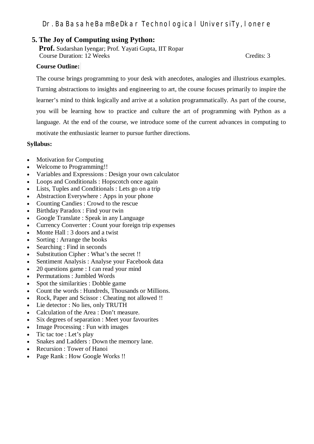## **5. The Joy of Computing using Python:**

**Prof.** Sudarshan Iyengar; Prof. Yayati Gupta, IIT Ropar Course Duration: 12 Weeks Credits: 3

### **Course Outline:**

The course brings programming to your desk with anecdotes, analogies and illustrious examples. Turning abstractions to insights and engineering to art, the course focuses primarily to inspire the learner's mind to think logically and arrive at a solution programmatically. As part of the course, you will be learning how to practice and culture the art of programming with Python as a language. At the end of the course, we introduce some of the current advances in computing to motivate the enthusiastic learner to pursue further directions.

### **Syllabus:**

- Motivation for Computing
- Welcome to Programming!!
- Variables and Expressions : Design your own calculator
- Loops and Conditionals : Hopscotch once again
- Lists, Tuples and Conditionals : Lets go on a trip
- Abstraction Everywhere : Apps in your phone
- Counting Candies : Crowd to the rescue
- Birthday Paradox : Find your twin
- Google Translate : Speak in any Language
- Currency Converter : Count your foreign trip expenses
- Monte Hall : 3 doors and a twist
- Sorting : Arrange the books
- Searching : Find in seconds
- Substitution Cipher : What's the secret !!
- Sentiment Analysis : Analyse your Facebook data
- 20 questions game : I can read your mind
- Permutations : Jumbled Words
- Spot the similarities : Dobble game
- Count the words : Hundreds, Thousands or Millions.
- Rock, Paper and Scissor : Cheating not allowed !!
- Lie detector : No lies, only TRUTH
- Calculation of the Area : Don't measure.
- Six degrees of separation : Meet your favourites
- Image Processing : Fun with images
- $\bullet$  Tic tac toe : Let's play
- Snakes and Ladders : Down the memory lane.
- Recursion : Tower of Hanoi
- Page Rank : How Google Works !!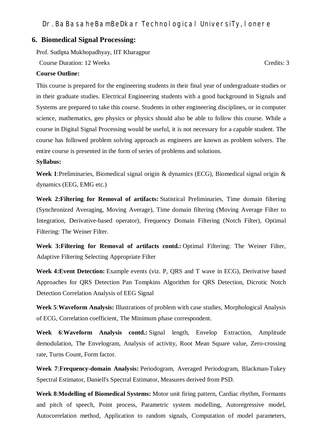### **6. Biomedical Signal Processing:**

Prof. Sudipta Mukhopadhyay, IIT Kharagpur

Course Duration: 12 Weeks Credits: 3

### **Course Outline:**

This course is prepared for the engineering students in their final year of undergraduate studies or in their graduate studies. Electrical Engineering students with a good background in Signals and Systems are prepared to take this course. Students in other engineering disciplines, or in computer science, mathematics, geo physics or physics should also be able to follow this course. While a course in Digital Signal Processing would be useful, it is not necessary for a capable student. The course has followed problem solving approach as engineers are known as problem solvers. The entire course is presented in the form of series of problems and solutions.

### **Syllabus:**

**Week 1**:Preliminaries, Biomedical signal origin & dynamics (ECG), Biomedical signal origin & dynamics (EEG, EMG etc.)

**Week 2:Filtering for Removal of artifacts:** Statistical Preliminaries, Time domain filtering (Synchronized Averaging, Moving Average), Time domain filtering (Moving Average Filter to Integration, Derivative-based operator), Frequency Domain Filtering (Notch Filter), Optimal Filtering: The Weiner Filter.

**Week 3:Filtering for Removal of artifacts contd.:** Optimal Filtering: The Weiner Filter, Adaptive Filtering Selecting Appropriate Filter

**Week 4:Event Detection:** Example events (viz. P, QRS and T wave in ECG), Derivative based Approaches for QRS Detection Pan Tompkins Algorithm for QRS Detection, Dicrotic Notch Detection Correlation Analysis of EEG Signal

**Week 5**:**Waveform Analysis:** Illustrations of problem with case studies, Morphological Analysis of ECG, Correlation coefficient, The Minimum phase correspondent.

**Week 6**:**Waveform Analysis contd.:** Signal length, Envelop Extraction, Amplitude demodulation, The Envelogram, Analysis of activity, Root Mean Square value, Zero-crossing rate, Turns Count, Form factor.

**Week 7**:**Frequency-domain Analysis:** Periodogram, Averaged Periodogram, Blackman-Tukey Spectral Estimator, Daniell's Spectral Estimator, Measures derived from PSD.

**Week 8**:**Modelling of Biomedical Systems:** Motor unit firing pattern, Cardiac rhythm, Formants and pitch of speech, Point process, Parametric system modelling, Autoregressive model, Autocorrelation method, Application to random signals, Computation of model parameters,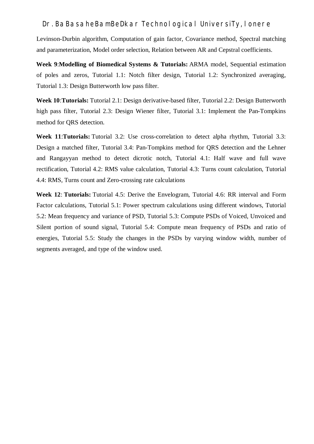Levinson-Durbin algorithm, Computation of gain factor, Covariance method, Spectral matching and parameterization, Model order selection, Relation between AR and Cepstral coefficients.

**Week 9**:**Modelling of Biomedical Systems & Tutorials:** ARMA model, Sequential estimation of poles and zeros, Tutorial 1.1: Notch filter design, Tutorial 1.2: Synchronized averaging, Tutorial 1.3: Design Butterworth low pass filter.

**Week 10**:**Tutorials:** Tutorial 2.1: Design derivative-based filter, Tutorial 2.2: Design Butterworth high pass filter, Tutorial 2.3: Design Wiener filter, Tutorial 3.1: Implement the Pan-Tompkins method for QRS detection.

**Week 11**:**Tutorials:** Tutorial 3.2: Use cross-correlation to detect alpha rhythm, Tutorial 3.3: Design a matched filter, Tutorial 3.4: Pan-Tompkins method for QRS detection and the Lehner and Rangayyan method to detect dicrotic notch, Tutorial 4.1: Half wave and full wave rectification, Tutorial 4.2: RMS value calculation, Tutorial 4.3: Turns count calculation, Tutorial 4.4: RMS, Turns count and Zero-crossing rate calculations

**Week 12**: **Tutorials:** Tutorial 4.5: Derive the Envelogram, Tutorial 4.6: RR interval and Form Factor calculations, Tutorial 5.1: Power spectrum calculations using different windows, Tutorial 5.2: Mean frequency and variance of PSD, Tutorial 5.3: Compute PSDs of Voiced, Unvoiced and Silent portion of sound signal, Tutorial 5.4: Compute mean frequency of PSDs and ratio of energies, Tutorial 5.5: Study the changes in the PSDs by varying window width, number of segments averaged, and type of the window used.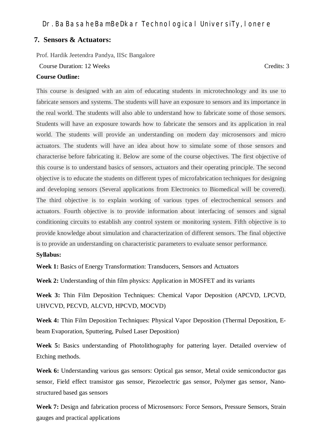## **7. Sensors & Actuators:**

Prof. Hardik Jeetendra Pandya, IISc Bangalore

Course Duration: 12 Weeks Credits: 3

### **Course Outline:**

This course is designed with an aim of educating students in microtechnology and its use to fabricate sensors and systems. The students will have an exposure to sensors and its importance in the real world. The students will also able to understand how to fabricate some of those sensors. Students will have an exposure towards how to fabricate the sensors and its application in real world. The students will provide an understanding on modern day microsensors and micro actuators. The students will have an idea about how to simulate some of those sensors and characterise before fabricating it. Below are some of the course objectives. The first objective of this course is to understand basics of sensors, actuators and their operating principle. The second objective is to educate the students on different types of microfabrication techniques for designing and developing sensors (Several applications from Electronics to Biomedical will be covered). The third objective is to explain working of various types of electrochemical sensors and actuators. Fourth objective is to provide information about interfacing of sensors and signal conditioning circuits to establish any control system or monitoring system. Fifth objective is to provide knowledge about simulation and characterization of different sensors. The final objective is to provide an understanding on characteristic parameters to evaluate sensor performance.

### **Syllabus:**

**Week 1:** Basics of Energy Transformation: Transducers, Sensors and Actuators

**Week 2:** Understanding of thin film physics: Application in MOSFET and its variants

**Week 3:** Thin Film Deposition Techniques: Chemical Vapor Deposition (APCVD, LPCVD, UHVCVD, PECVD, ALCVD, HPCVD, MOCVD)

**Week 4:** Thin Film Deposition Techniques: Physical Vapor Deposition (Thermal Deposition, Ebeam Evaporation, Sputtering, Pulsed Laser Deposition)

**Week 5:** Basics understanding of Photolithography for pattering layer. Detailed overview of Etching methods.

Week 6: Understanding various gas sensors: Optical gas sensor, Metal oxide semiconductor gas sensor, Field effect transistor gas sensor, Piezoelectric gas sensor, Polymer gas sensor, Nanostructured based gas sensors

**Week 7:** Design and fabrication process of Microsensors: Force Sensors, Pressure Sensors, Strain gauges and practical applications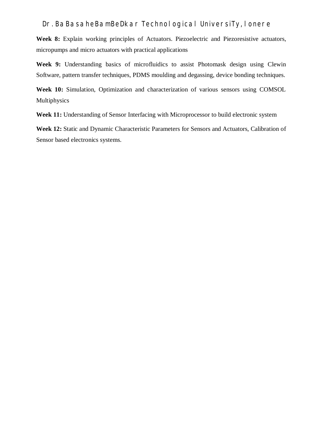**Week 8:** Explain working principles of Actuators. Piezoelectric and Piezoresistive actuators, micropumps and micro actuators with practical applications

**Week 9:** Understanding basics of microfluidics to assist Photomask design using Clewin Software, pattern transfer techniques, PDMS moulding and degassing, device bonding techniques.

**Week 10:** Simulation, Optimization and characterization of various sensors using COMSOL Multiphysics

**Week 11:** Understanding of Sensor Interfacing with Microprocessor to build electronic system

**Week 12:** Static and Dynamic Characteristic Parameters for Sensors and Actuators, Calibration of Sensor based electronics systems.